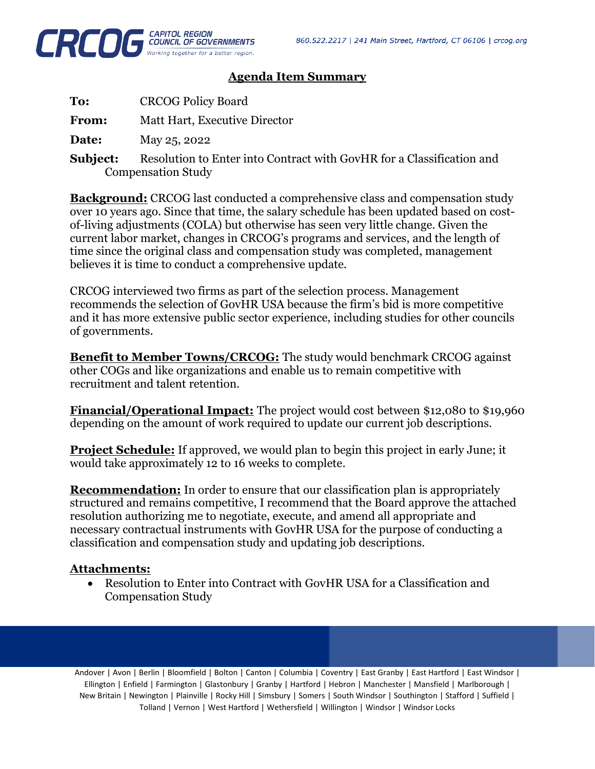

## **Agenda Item Summary**

| To: | <b>CRCOG Policy Board</b> |
|-----|---------------------------|
|     |                           |

**From:** Matt Hart, Executive Director

**Date:** May 25, 2022

**Subject:** Resolution to Enter into Contract with GovHR for a Classification and Compensation Study

**Background:** CRCOG last conducted a comprehensive class and compensation study over 10 years ago. Since that time, the salary schedule has been updated based on costof-living adjustments (COLA) but otherwise has seen very little change. Given the current labor market, changes in CRCOG's programs and services, and the length of time since the original class and compensation study was completed, management believes it is time to conduct a comprehensive update.

CRCOG interviewed two firms as part of the selection process. Management recommends the selection of GovHR USA because the firm's bid is more competitive and it has more extensive public sector experience, including studies for other councils of governments.

**Benefit to Member Towns/CRCOG:** The study would benchmark CRCOG against other COGs and like organizations and enable us to remain competitive with recruitment and talent retention.

**Financial/Operational Impact:** The project would cost between \$12,080 to \$19,960 depending on the amount of work required to update our current job descriptions.

**Project Schedule:** If approved, we would plan to begin this project in early June; it would take approximately 12 to 16 weeks to complete.

**Recommendation:** In order to ensure that our classification plan is appropriately structured and remains competitive, I recommend that the Board approve the attached resolution authorizing me to negotiate, execute, and amend all appropriate and necessary contractual instruments with GovHR USA for the purpose of conducting a classification and compensation study and updating job descriptions.

## **Attachments:**

• Resolution to Enter into Contract with GovHR USA for a Classification and Compensation Study

Andover | Avon | Berlin | Bloomfield | Bolton | Canton | Columbia | Coventry | East Granby | East Hartford | East Windsor | Ellington | Enfield | Farmington | Glastonbury | Granby | Hartford | Hebron | Manchester | Mansfield | Marlborough | New Britain | Newington | Plainville | Rocky Hill | Simsbury | Somers | South Windsor | Southington | Stafford | Suffield | Tolland | Vernon | West Hartford | Wethersfield | Willington | Windsor | Windsor Locks